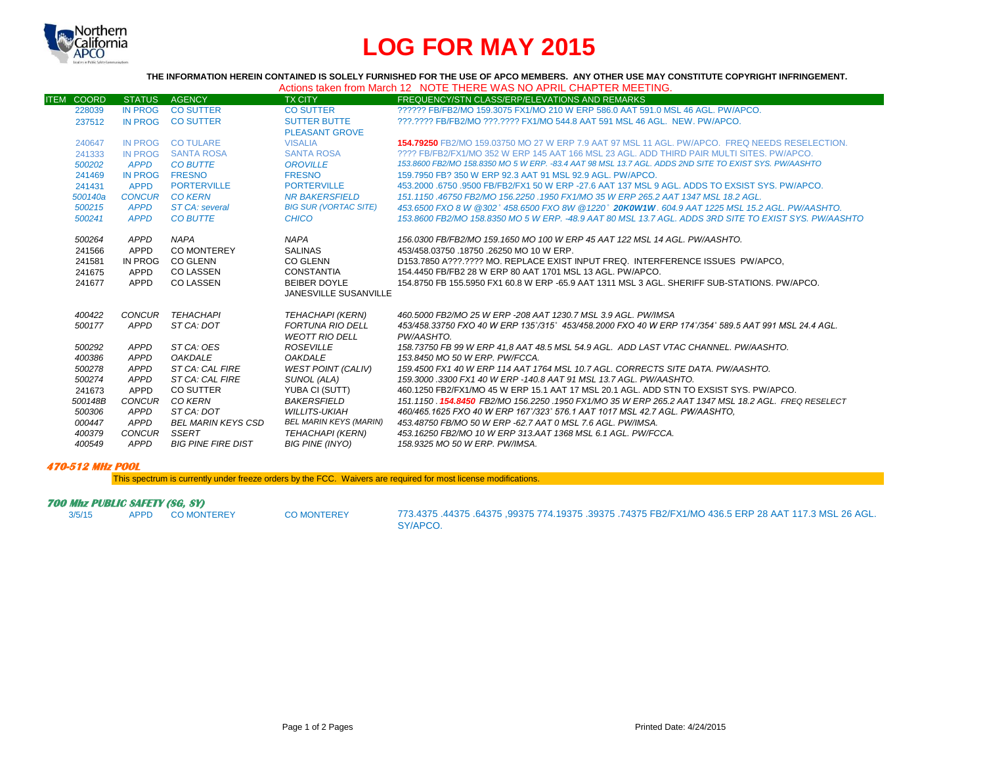

# **LOG FOR MAY 2015**

**THE INFORMATION HEREIN CONTAINED IS SOLELY FURNISHED FOR THE USE OF APCO MEMBERS. ANY OTHER USE MAY CONSTITUTE COPYRIGHT INFRINGEMENT.**

|--|

| <b>ITEM COORD</b> | <b>STATUS</b>  | <b>AGENCY</b>             | <b>TX CITY</b>                | FREQUENCY/STN CLASS/ERP/ELEVATIONS AND REMARKS                                                               |
|-------------------|----------------|---------------------------|-------------------------------|--------------------------------------------------------------------------------------------------------------|
| 228039            | <b>IN PROG</b> | <b>CO SUTTER</b>          | <b>CO SUTTER</b>              | ?????? FB/FB2/MO 159.3075 FX1/MO 210 W ERP 586.0 AAT 591.0 MSL 46 AGL, PW/APCO.                              |
| 237512            | IN PROG        | <b>CO SUTTER</b>          | <b>SUTTER BUTTE</b>           | ???.???? FB/FB2/MO ???.???? FX1/MO 544.8 AAT 591 MSL 46 AGL. NEW. PW/APCO.                                   |
|                   |                |                           | <b>PLEASANT GROVE</b>         |                                                                                                              |
| 240647            | <b>IN PROG</b> | <b>CO TULARE</b>          | <b>VISALIA</b>                | 154.79250 FB2/MO 159.03750 MO 27 W ERP 7.9 AAT 97 MSL 11 AGL. PW/APCO. FREQ NEEDS RESELECTION.               |
| 241333            | IN PROG        | <b>SANTA ROSA</b>         | <b>SANTA ROSA</b>             | 2222 FB/FB2/FX1/MO 352 W ERP 145 AAT 166 MSL 23 AGL. ADD THIRD PAIR MULTI SITES, PW/APCO.                    |
| 500202            | <b>APPD</b>    | <b>CO BUTTE</b>           | <b>OROVILLE</b>               | 153.8600 FB2/MO 158.8350 MO 5 W ERP. -83.4 AAT 98 MSL 13.7 AGL. ADDS 2ND SITE TO EXIST SYS. PW/AASHTO        |
| 241469            | <b>IN PROG</b> | <b>FRESNO</b>             | <b>FRESNO</b>                 | 159.7950 FB? 350 W ERP 92.3 AAT 91 MSL 92.9 AGL. PW/APCO.                                                    |
| 241431            | <b>APPD</b>    | <b>PORTERVILLE</b>        | <b>PORTERVILLE</b>            | 453,2000 .6750 .9500 FB/FB2/FX1 50 W ERP -27.6 AAT 137 MSL 9 AGL. ADDS TO EXSIST SYS, PW/APCO,               |
| 500140a           | CONCUR         | <b>CO KERN</b>            | <b>NR BAKERSFIELD</b>         | 151.1150 .46750 FB2/MO 156.2250 .1950 FX1/MO 35 W ERP 265.2 AAT 1347 MSL 18.2 AGL.                           |
| 500215            | <b>APPD</b>    | <b>ST CA: several</b>     | <b>BIG SUR (VORTAC SITE)</b>  | 453.6500 FXO 8 W @302° 458.6500 FXO 8W @1220° 20K0W1W, 604.9 AAT 1225 MSL 15.2 AGL, PW/AASHTO,               |
| 500241            | <b>APPD</b>    | <b>CO BUTTE</b>           | <b>CHICO</b>                  | 153.8600 FB2/MO 158.8350 MO 5 W ERP. -48.9 AAT 80 MSL 13.7 AGL. ADDS 3RD SITE TO EXIST SYS. PW/AASHTO        |
| 500264            | APPD           | <b>NAPA</b>               | <b>NAPA</b>                   | 156.0300 FB/FB2/MO 159.1650 MO 100 W ERP 45 AAT 122 MSL 14 AGL. PW/AASHTO.                                   |
| 241566            | APPD           | <b>CO MONTEREY</b>        | <b>SALINAS</b>                | 453/458.03750 .18750 .26250 MO 10 W ERP.                                                                     |
| 241581            | IN PROG        | <b>CO GLENN</b>           | <b>CO GLENN</b>               | D153.7850 A???.???? MO. REPLACE EXIST INPUT FREQ. INTERFERENCE ISSUES PW/APCO.                               |
| 241675            | APPD           | <b>CO LASSEN</b>          | CONSTANTIA                    | 154,4450 FB/FB2 28 W ERP 80 AAT 1701 MSL 13 AGL, PW/APCO.                                                    |
| 241677            | APPD           | <b>CO LASSEN</b>          | <b>BEIBER DOYLE</b>           | 154.8750 FB 155.5950 FX1 60.8 W ERP -65.9 AAT 1311 MSL 3 AGL. SHERIFF SUB-STATIONS, PW/APCO,                 |
|                   |                |                           | <b>JANESVILLE SUSANVILLE</b>  |                                                                                                              |
|                   |                |                           |                               |                                                                                                              |
| 400422            |                | CONCUR TEHACHAPI          | <b>TEHACHAPI (KERN)</b>       | 460.5000 FB2/MO 25 W ERP -208 AAT 1230.7 MSL 3.9 AGL. PW/IMSA                                                |
| 500177            | APPD           | ST CA: DOT                | FORTUNA RIO DELL              | 453/458.33750 FXO 40 W ERP 135°/315° 453/458.2000 FXO 40 W ERP 174°/354° 589.5 AAT 991 MSL 24.4 AGL.         |
|                   |                |                           | <b>WEOTT RIO DELL</b>         | PW/AASHTO.                                                                                                   |
| 500292            | APPD           | ST CA: OES                | <b>ROSEVILLE</b>              | 158.73750 FB 99 W ERP 41.8 AAT 48.5 MSL 54.9 AGL. ADD LAST VTAC CHANNEL. PW/AASHTO.                          |
| 400386            | APPD           | <b>OAKDALE</b>            | <b>OAKDALE</b>                | 153.8450 MO 50 W ERP. PW/FCCA.                                                                               |
| 500278            | APPD           | ST CA: CAL FIRE           | <b>WEST POINT (CALIV)</b>     | 159.4500 FX1 40 W ERP 114 AAT 1764 MSL 10.7 AGL, CORRECTS SITE DATA, PW/AASHTO,                              |
| 500274            | APPD           | ST CA: CAL FIRE           | SUNOL (ALA)                   | 159.3000.3300 FX1 40 W ERP -140.8 AAT 91 MSL 13.7 AGL. PW/AASHTO.                                            |
| 241673            | APPD           | <b>CO SUTTER</b>          | YUBA CI (SUTT)                | 460.1250 FB2/FX1/MO 45 W ERP 15.1 AAT 17 MSL 20.1 AGL. ADD STN TO EXSIST SYS. PW/APCO.                       |
| 500148B           | <b>CONCUR</b>  | CO KERN                   | BAKERSFIELD                   | 151.1150 . <b>154.8450 FB</b> 2/MO 156.2250 .1950 FX1/MO 35 W ERP 265.2 AAT 1347 MSL 18.2 AGL. FREQ RESELECT |
| 500306            | APPD           | ST CA: DOT                | <b>WILLITS-UKIAH</b>          | 460/465.1625 FXO 40 W ERP 167°/323° 576.1 AAT 1017 MSL 42.7 AGL. PW/AASHTO.                                  |
| 000447            | APPD           | BEL MARIN KEYS CSD        | <b>BEL MARIN KEYS (MARIN)</b> | 453,48750 FB/MO 50 W ERP -62,7 AAT 0 MSL 7.6 AGL, PW/IMSA.                                                   |
| 400379            | <b>CONCUR</b>  | SSERT                     | TEHACHAPI (KERN)              | 453.16250 FB2/MO 10 W ERP 313.AAT 1368 MSL 6.1 AGL, PW/FCCA.                                                 |
| 400549            | APPD           | <b>BIG PINE FIRE DIST</b> | <b>BIG PINE (INYO)</b>        | 158.9325 MO 50 W ERP. PW/IMSA.                                                                               |

## **470-512 MHz POOL**

This spectrum is currently under freeze orders by the FCC. Waivers are required for most license modifications.

# **700 Mhz PUBLIC SAFETY (SG, SY)**<br>3/5/15 APPD COMONTEREY

3/5/15 APPD CO MONTEREY CO MONTEREY 773.4375 .44375 .64375 ,99375 774.19375 .39375 .74375 FB2/FX1/MO 436.5 ERP 28 AAT 117.3 MSL 26 AGL. SY/APCO.